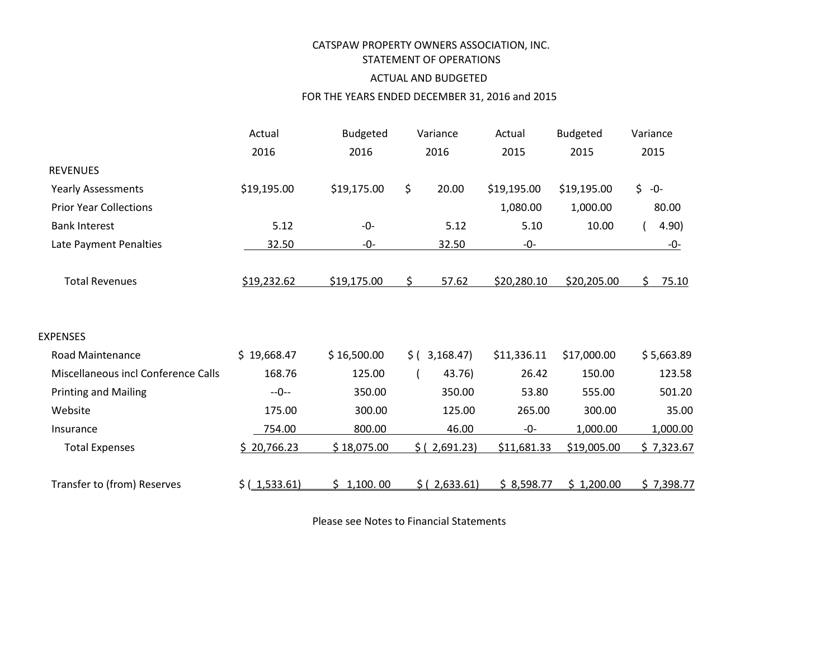## CATSPAW PROPERTY OWNERS ASSOCIATION, INC. STATEMENT OF OPERATIONS

## ACTUAL AND BUDGETED

### FOR THE YEARS ENDED DECEMBER 31, 2016 and 2015

|                                     | Actual        | <b>Budgeted</b> | Variance         | Actual      | <b>Budgeted</b> | Variance    |
|-------------------------------------|---------------|-----------------|------------------|-------------|-----------------|-------------|
|                                     | 2016          | 2016            | 2016             | 2015        | 2015            | 2015        |
| <b>REVENUES</b>                     |               |                 |                  |             |                 |             |
| Yearly Assessments                  | \$19,195.00   | \$19,175.00     | \$<br>20.00      | \$19,195.00 | \$19,195.00     | $$ -0-$     |
| <b>Prior Year Collections</b>       |               |                 |                  | 1,080.00    | 1,000.00        | 80.00       |
| <b>Bank Interest</b>                | 5.12          | $-0-$           | 5.12             | 5.10        | 10.00           | 4.90)       |
| Late Payment Penalties              | 32.50         | -0-             | 32.50            | -0-         |                 | -0-         |
|                                     |               |                 |                  |             |                 |             |
| <b>Total Revenues</b>               | \$19,232.62   | \$19,175.00     | \$<br>57.62      | \$20,280.10 | \$20,205.00     | Ś.<br>75.10 |
|                                     |               |                 |                  |             |                 |             |
|                                     |               |                 |                  |             |                 |             |
| <b>EXPENSES</b>                     |               |                 |                  |             |                 |             |
| <b>Road Maintenance</b>             | \$19,668.47   | \$16,500.00     | 3,168.47<br>\$(  | \$11,336.11 | \$17,000.00     | \$5,663.89  |
| Miscellaneous incl Conference Calls | 168.76        | 125.00          | 43.76)           | 26.42       | 150.00          | 123.58      |
| <b>Printing and Mailing</b>         | $-0-$         | 350.00          | 350.00           | 53.80       | 555.00          | 501.20      |
| Website                             | 175.00        | 300.00          | 125.00           | 265.00      | 300.00          | 35.00       |
| Insurance                           | 754.00        | 800.00          | 46.00            | -0-         | 1,000.00        | 1,000.00    |
| <b>Total Expenses</b>               | \$20,766.23   | \$18,075.00     | 2,691.23)<br>S ( | \$11,681.33 | \$19,005.00     | \$7,323.67  |
|                                     |               |                 |                  |             |                 |             |
| Transfer to (from) Reserves         | \$(.1,533.61) | \$1,100.00      | \$ (2,633.61)    | \$8,598.77  | \$1,200.00      | \$7,398.77  |

Please see Notes to Financial Statements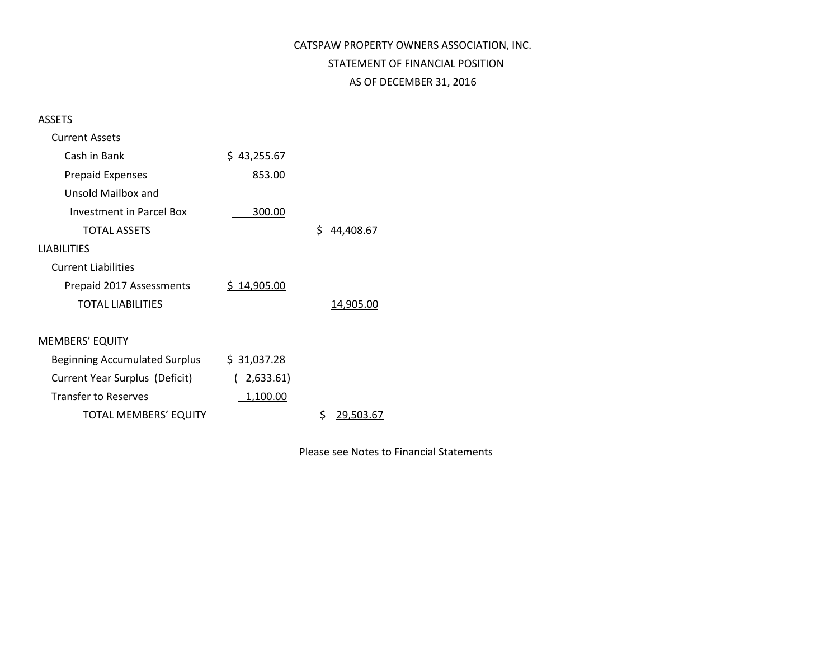# CATSPAW PROPERTY OWNERS ASSOCIATION, INC. STATEMENT OF FINANCIAL POSITION AS OF DECEMBER 31, 2016

ASSETS

| <b>Current Assets</b>                |             |                 |
|--------------------------------------|-------------|-----------------|
| Cash in Bank                         | \$43,255.67 |                 |
| <b>Prepaid Expenses</b>              | 853.00      |                 |
| Unsold Mailbox and                   |             |                 |
| Investment in Parcel Box             | 300.00      |                 |
| <b>TOTAL ASSETS</b>                  |             | Ś<br>44,408.67  |
| <b>LIABILITIES</b>                   |             |                 |
| <b>Current Liabilities</b>           |             |                 |
| Prepaid 2017 Assessments             | \$14,905.00 |                 |
| <b>TOTAL LIABILITIES</b>             |             | 14,905.00       |
|                                      |             |                 |
| <b>MEMBERS' EQUITY</b>               |             |                 |
| <b>Beginning Accumulated Surplus</b> | \$31,037.28 |                 |
| Current Year Surplus (Deficit)       | (2,633.61)  |                 |
| <b>Transfer to Reserves</b>          | 1,100.00    |                 |
| <b>TOTAL MEMBERS' EQUITY</b>         |             | \$<br>29.503.67 |

Please see Notes to Financial Statements